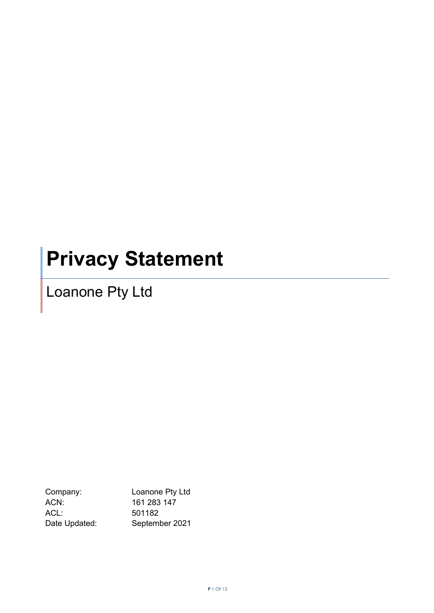# **Privacy Statement**

Loanone Pty Ltd

Company: Loanone Pty Ltd ACN: 161 283 147 ACL: 501182<br>Date Updated: Septem September 2021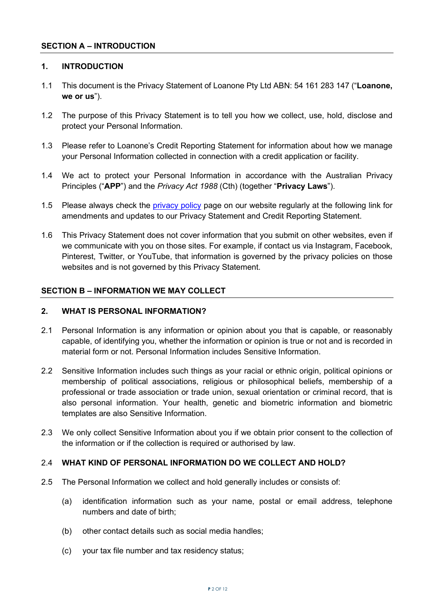#### **1. INTRODUCTION**

- 1.1 This document is the Privacy Statement of Loanone Pty Ltd ABN: 54 161 283 147 ("**Loanone, we or us**").
- 1.2 The purpose of this Privacy Statement is to tell you how we collect, use, hold, disclose and protect your Personal Information.
- 1.3 Please refer to Loanone's Credit Reporting Statement for information about how we manage your Personal Information collected in connection with a credit application or facility.
- 1.4 We act to protect your Personal Information in accordance with the Australian Privacy Principles ("**APP**") and the *Privacy Act 1988* (Cth) (together "**Privacy Laws**").
- 1.5 Please always check the [privacy policy](https://www.loanone.com.au/) page on our website regularly at the following link for amendments and updates to our Privacy Statement and Credit Reporting Statement.
- 1.6 This Privacy Statement does not cover information that you submit on other websites, even if we communicate with you on those sites. For example, if contact us via Instagram, Facebook, Pinterest, Twitter, or YouTube, that information is governed by the privacy policies on those websites and is not governed by this Privacy Statement.

#### **SECTION B – INFORMATION WE MAY COLLECT**

#### **2. WHAT IS PERSONAL INFORMATION?**

- 2.1 Personal Information is any information or opinion about you that is capable, or reasonably capable, of identifying you, whether the information or opinion is true or not and is recorded in material form or not. Personal Information includes Sensitive Information.
- 2.2 Sensitive Information includes such things as your racial or ethnic origin, political opinions or membership of political associations, religious or philosophical beliefs, membership of a professional or trade association or trade union, sexual orientation or criminal record, that is also personal information. Your health, genetic and biometric information and biometric templates are also Sensitive Information.
- 2.3 We only collect Sensitive Information about you if we obtain prior consent to the collection of the information or if the collection is required or authorised by law.

#### 2.4 **WHAT KIND OF PERSONAL INFORMATION DO WE COLLECT AND HOLD?**

- 2.5 The Personal Information we collect and hold generally includes or consists of:
	- (a) identification information such as your name, postal or email address, telephone numbers and date of birth;
	- (b) other contact details such as social media handles;
	- (c) your tax file number and tax residency status;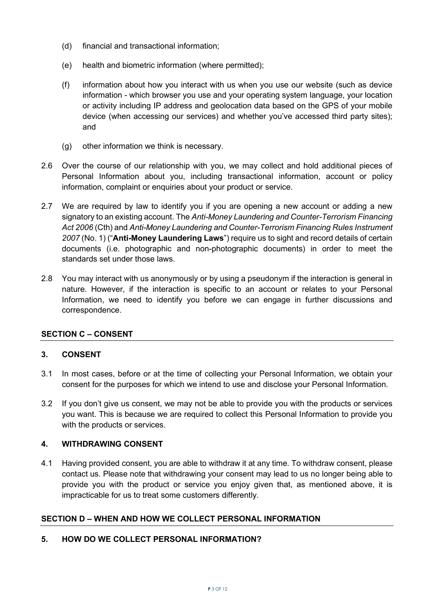- (d) financial and transactional information;
- (e) health and biometric information (where permitted);
- (f) information about how you interact with us when you use our website (such as device information - which browser you use and your operating system language, your location or activity including IP address and geolocation data based on the GPS of your mobile device (when accessing our services) and whether you've accessed third party sites); and
- (g) other information we think is necessary.
- 2.6 Over the course of our relationship with you, we may collect and hold additional pieces of Personal Information about you, including transactional information, account or policy information, complaint or enquiries about your product or service.
- 2.7 We are required by law to identify you if you are opening a new account or adding a new signatory to an existing account. The *Anti-Money Laundering and Counter-Terrorism Financing Act 2006* (Cth) and *Anti-Money Laundering and Counter-Terrorism Financing Rules Instrument 2007* (No. 1) ("**Anti-Money Laundering Laws**") require us to sight and record details of certain documents (i.e. photographic and non-photographic documents) in order to meet the standards set under those laws.
- 2.8 You may interact with us anonymously or by using a pseudonym if the interaction is general in nature. However, if the interaction is specific to an account or relates to your Personal Information, we need to identify you before we can engage in further discussions and correspondence.

# **SECTION C – CONSENT**

#### **3. CONSENT**

- 3.1 In most cases, before or at the time of collecting your Personal Information, we obtain your consent for the purposes for which we intend to use and disclose your Personal Information.
- 3.2 If you don't give us consent, we may not be able to provide you with the products or services you want. This is because we are required to collect this Personal Information to provide you with the products or services.

#### **4. WITHDRAWING CONSENT**

4.1 Having provided consent, you are able to withdraw it at any time. To withdraw consent, please contact us. Please note that withdrawing your consent may lead to us no longer being able to provide you with the product or service you enjoy given that, as mentioned above, it is impracticable for us to treat some customers differently.

#### **SECTION D – WHEN AND HOW WE COLLECT PERSONAL INFORMATION**

#### **5. HOW DO WE COLLECT PERSONAL INFORMATION?**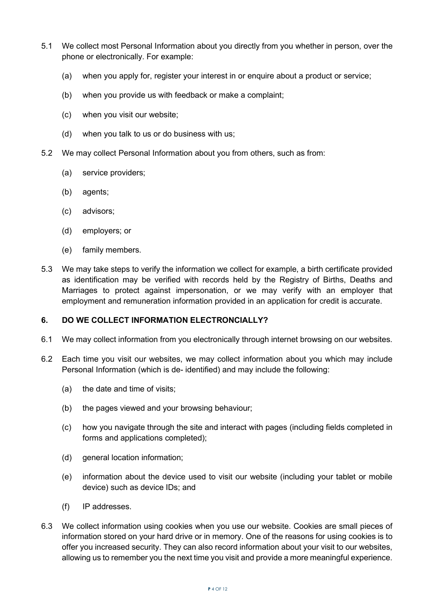- 5.1 We collect most Personal Information about you directly from you whether in person, over the phone or electronically. For example:
	- (a) when you apply for, register your interest in or enquire about a product or service;
	- (b) when you provide us with feedback or make a complaint;
	- (c) when you visit our website;
	- (d) when you talk to us or do business with us;
- 5.2 We may collect Personal Information about you from others, such as from:
	- (a) service providers;
	- (b) agents;
	- (c) advisors;
	- (d) employers; or
	- (e) family members.
- 5.3 We may take steps to verify the information we collect for example, a birth certificate provided as identification may be verified with records held by the Registry of Births, Deaths and Marriages to protect against impersonation, or we may verify with an employer that employment and remuneration information provided in an application for credit is accurate.

#### **6. DO WE COLLECT INFORMATION ELECTRONCIALLY?**

- 6.1 We may collect information from you electronically through internet browsing on our websites.
- 6.2 Each time you visit our websites, we may collect information about you which may include Personal Information (which is de- identified) and may include the following:
	- (a) the date and time of visits;
	- (b) the pages viewed and your browsing behaviour;
	- (c) how you navigate through the site and interact with pages (including fields completed in forms and applications completed);
	- (d) general location information;
	- (e) information about the device used to visit our website (including your tablet or mobile device) such as device IDs; and
	- (f) IP addresses.
- 6.3 We collect information using cookies when you use our website. Cookies are small pieces of information stored on your hard drive or in memory. One of the reasons for using cookies is to offer you increased security. They can also record information about your visit to our websites, allowing us to remember you the next time you visit and provide a more meaningful experience.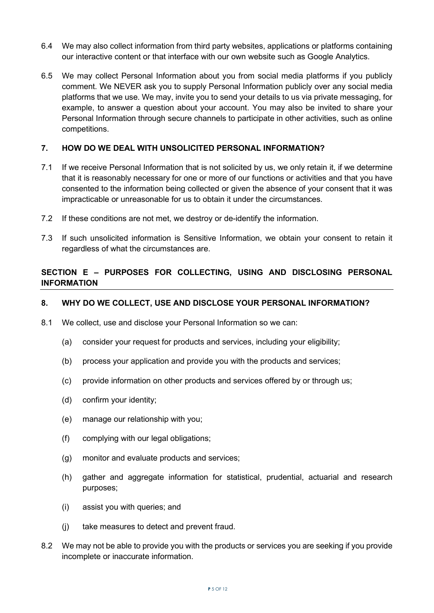- 6.4 We may also collect information from third party websites, applications or platforms containing our interactive content or that interface with our own website such as Google Analytics.
- 6.5 We may collect Personal Information about you from social media platforms if you publicly comment. We NEVER ask you to supply Personal Information publicly over any social media platforms that we use. We may, invite you to send your details to us via private messaging, for example, to answer a question about your account. You may also be invited to share your Personal Information through secure channels to participate in other activities, such as online competitions.

### **7. HOW DO WE DEAL WITH UNSOLICITED PERSONAL INFORMATION?**

- 7.1 If we receive Personal Information that is not solicited by us, we only retain it, if we determine that it is reasonably necessary for one or more of our functions or activities and that you have consented to the information being collected or given the absence of your consent that it was impracticable or unreasonable for us to obtain it under the circumstances.
- 7.2 If these conditions are not met, we destroy or de-identify the information.
- 7.3 If such unsolicited information is Sensitive Information, we obtain your consent to retain it regardless of what the circumstances are.

# **SECTION E – PURPOSES FOR COLLECTING, USING AND DISCLOSING PERSONAL INFORMATION**

#### **8. WHY DO WE COLLECT, USE AND DISCLOSE YOUR PERSONAL INFORMATION?**

- 8.1 We collect, use and disclose your Personal Information so we can:
	- (a) consider your request for products and services, including your eligibility;
	- (b) process your application and provide you with the products and services;
	- (c) provide information on other products and services offered by or through us;
	- (d) confirm your identity;
	- (e) manage our relationship with you;
	- (f) complying with our legal obligations;
	- (g) monitor and evaluate products and services;
	- (h) gather and aggregate information for statistical, prudential, actuarial and research purposes;
	- (i) assist you with queries; and
	- (j) take measures to detect and prevent fraud.
- 8.2 We may not be able to provide you with the products or services you are seeking if you provide incomplete or inaccurate information.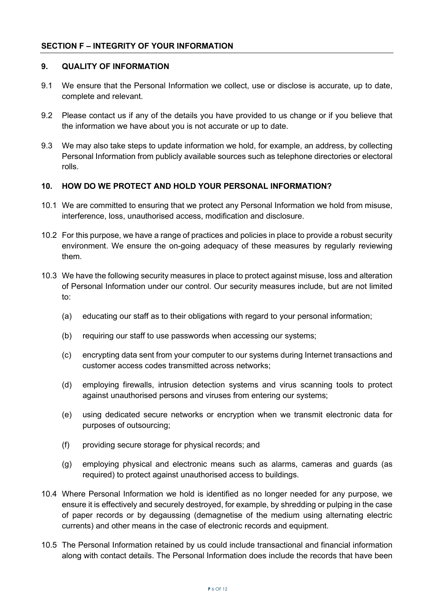# **9. QUALITY OF INFORMATION**

- 9.1 We ensure that the Personal Information we collect, use or disclose is accurate, up to date, complete and relevant.
- 9.2 Please contact us if any of the details you have provided to us change or if you believe that the information we have about you is not accurate or up to date.
- 9.3 We may also take steps to update information we hold, for example, an address, by collecting Personal Information from publicly available sources such as telephone directories or electoral rolls.

# **10. HOW DO WE PROTECT AND HOLD YOUR PERSONAL INFORMATION?**

- 10.1 We are committed to ensuring that we protect any Personal Information we hold from misuse, interference, loss, unauthorised access, modification and disclosure.
- 10.2 For this purpose, we have a range of practices and policies in place to provide a robust security environment. We ensure the on-going adequacy of these measures by regularly reviewing them.
- 10.3 We have the following security measures in place to protect against misuse, loss and alteration of Personal Information under our control. Our security measures include, but are not limited to:
	- (a) educating our staff as to their obligations with regard to your personal information;
	- (b) requiring our staff to use passwords when accessing our systems;
	- (c) encrypting data sent from your computer to our systems during Internet transactions and customer access codes transmitted across networks;
	- (d) employing firewalls, intrusion detection systems and virus scanning tools to protect against unauthorised persons and viruses from entering our systems;
	- (e) using dedicated secure networks or encryption when we transmit electronic data for purposes of outsourcing;
	- (f) providing secure storage for physical records; and
	- (g) employing physical and electronic means such as alarms, cameras and guards (as required) to protect against unauthorised access to buildings.
- 10.4 Where Personal Information we hold is identified as no longer needed for any purpose, we ensure it is effectively and securely destroyed, for example, by shredding or pulping in the case of paper records or by degaussing (demagnetise of the medium using alternating electric currents) and other means in the case of electronic records and equipment.
- 10.5 The Personal Information retained by us could include transactional and financial information along with contact details. The Personal Information does include the records that have been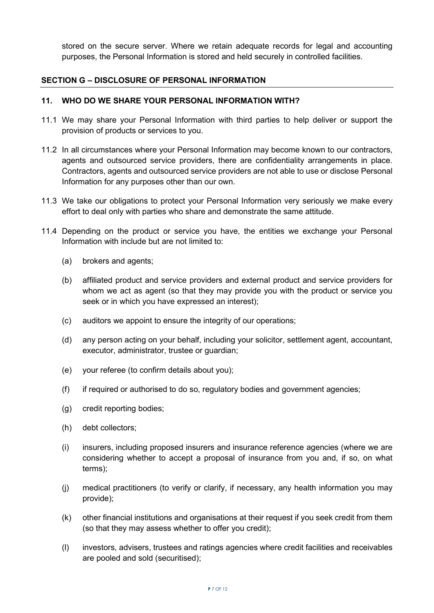stored on the secure server. Where we retain adequate records for legal and accounting purposes, the Personal Information is stored and held securely in controlled facilities.

#### **SECTION G – DISCLOSURE OF PERSONAL INFORMATION**

#### **11. WHO DO WE SHARE YOUR PERSONAL INFORMATION WITH?**

- 11.1 We may share your Personal Information with third parties to help deliver or support the provision of products or services to you.
- 11.2 In all circumstances where your Personal Information may become known to our contractors, agents and outsourced service providers, there are confidentiality arrangements in place. Contractors, agents and outsourced service providers are not able to use or disclose Personal Information for any purposes other than our own.
- 11.3 We take our obligations to protect your Personal Information very seriously we make every effort to deal only with parties who share and demonstrate the same attitude.
- 11.4 Depending on the product or service you have, the entities we exchange your Personal Information with include but are not limited to:
	- (a) brokers and agents;
	- (b) affiliated product and service providers and external product and service providers for whom we act as agent (so that they may provide you with the product or service you seek or in which you have expressed an interest);
	- (c) auditors we appoint to ensure the integrity of our operations;
	- (d) any person acting on your behalf, including your solicitor, settlement agent, accountant, executor, administrator, trustee or guardian;
	- (e) your referee (to confirm details about you);
	- (f) if required or authorised to do so, regulatory bodies and government agencies;
	- (g) credit reporting bodies;
	- (h) debt collectors;
	- (i) insurers, including proposed insurers and insurance reference agencies (where we are considering whether to accept a proposal of insurance from you and, if so, on what terms);
	- (j) medical practitioners (to verify or clarify, if necessary, any health information you may provide);
	- (k) other financial institutions and organisations at their request if you seek credit from them (so that they may assess whether to offer you credit);
	- (l) investors, advisers, trustees and ratings agencies where credit facilities and receivables are pooled and sold (securitised);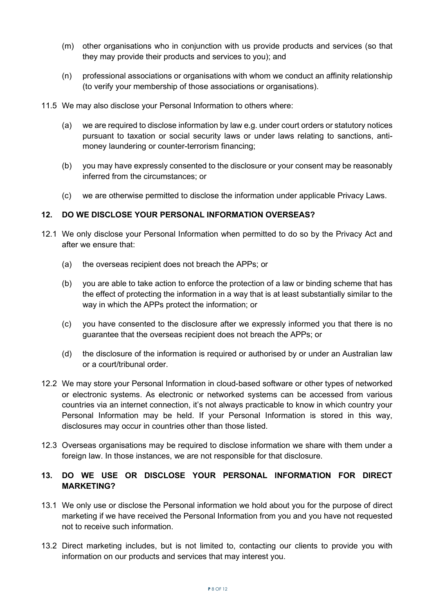- (m) other organisations who in conjunction with us provide products and services (so that they may provide their products and services to you); and
- (n) professional associations or organisations with whom we conduct an affinity relationship (to verify your membership of those associations or organisations).
- 11.5 We may also disclose your Personal Information to others where:
	- (a) we are required to disclose information by law e.g. under court orders or statutory notices pursuant to taxation or social security laws or under laws relating to sanctions, antimoney laundering or counter-terrorism financing;
	- (b) you may have expressly consented to the disclosure or your consent may be reasonably inferred from the circumstances; or
	- (c) we are otherwise permitted to disclose the information under applicable Privacy Laws.

# **12. DO WE DISCLOSE YOUR PERSONAL INFORMATION OVERSEAS?**

- 12.1 We only disclose your Personal Information when permitted to do so by the Privacy Act and after we ensure that:
	- (a) the overseas recipient does not breach the APPs; or
	- (b) you are able to take action to enforce the protection of a law or binding scheme that has the effect of protecting the information in a way that is at least substantially similar to the way in which the APPs protect the information; or
	- (c) you have consented to the disclosure after we expressly informed you that there is no guarantee that the overseas recipient does not breach the APPs; or
	- (d) the disclosure of the information is required or authorised by or under an Australian law or a court/tribunal order.
- 12.2 We may store your Personal Information in cloud-based software or other types of networked or electronic systems. As electronic or networked systems can be accessed from various countries via an internet connection, it's not always practicable to know in which country your Personal Information may be held. If your Personal Information is stored in this way, disclosures may occur in countries other than those listed.
- 12.3 Overseas organisations may be required to disclose information we share with them under a foreign law. In those instances, we are not responsible for that disclosure.

# **13. DO WE USE OR DISCLOSE YOUR PERSONAL INFORMATION FOR DIRECT MARKETING?**

- 13.1 We only use or disclose the Personal information we hold about you for the purpose of direct marketing if we have received the Personal Information from you and you have not requested not to receive such information.
- 13.2 Direct marketing includes, but is not limited to, contacting our clients to provide you with information on our products and services that may interest you.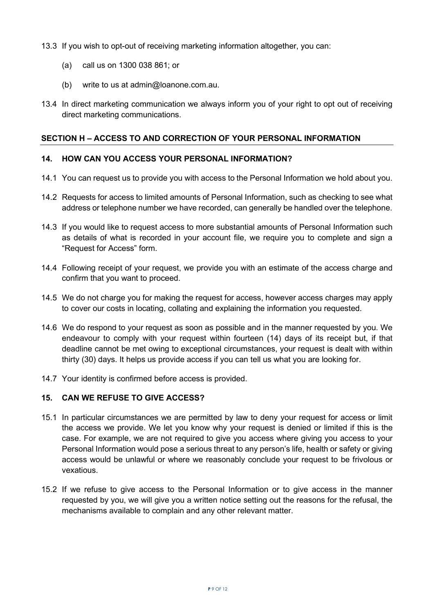13.3 If you wish to opt-out of receiving marketing information altogether, you can:

- (a) call us on 1300 038 861; or
- (b) write to us at admin@loanone.com.au.
- 13.4 In direct marketing communication we always inform you of your right to opt out of receiving direct marketing communications.

#### **SECTION H – ACCESS TO AND CORRECTION OF YOUR PERSONAL INFORMATION**

#### **14. HOW CAN YOU ACCESS YOUR PERSONAL INFORMATION?**

- 14.1 You can request us to provide you with access to the Personal Information we hold about you.
- 14.2 Requests for access to limited amounts of Personal Information, such as checking to see what address or telephone number we have recorded, can generally be handled over the telephone.
- 14.3 If you would like to request access to more substantial amounts of Personal Information such as details of what is recorded in your account file, we require you to complete and sign a "Request for Access" form.
- 14.4 Following receipt of your request, we provide you with an estimate of the access charge and confirm that you want to proceed.
- 14.5 We do not charge you for making the request for access, however access charges may apply to cover our costs in locating, collating and explaining the information you requested.
- 14.6 We do respond to your request as soon as possible and in the manner requested by you. We endeavour to comply with your request within fourteen (14) days of its receipt but, if that deadline cannot be met owing to exceptional circumstances, your request is dealt with within thirty (30) days. It helps us provide access if you can tell us what you are looking for.
- 14.7 Your identity is confirmed before access is provided.

# **15. CAN WE REFUSE TO GIVE ACCESS?**

- 15.1 In particular circumstances we are permitted by law to deny your request for access or limit the access we provide. We let you know why your request is denied or limited if this is the case. For example, we are not required to give you access where giving you access to your Personal Information would pose a serious threat to any person's life, health or safety or giving access would be unlawful or where we reasonably conclude your request to be frivolous or vexatious.
- 15.2 If we refuse to give access to the Personal Information or to give access in the manner requested by you, we will give you a written notice setting out the reasons for the refusal, the mechanisms available to complain and any other relevant matter.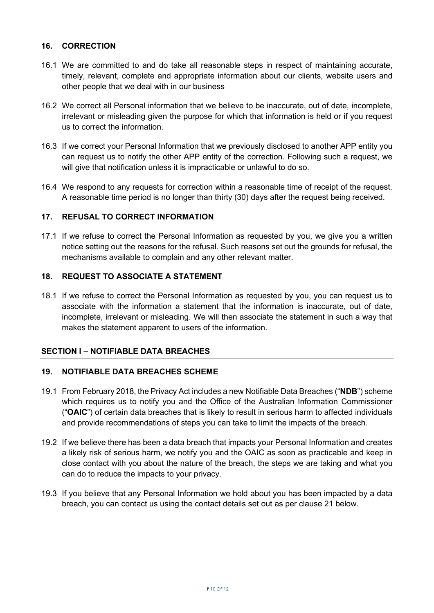#### **16. CORRECTION**

- 16.1 We are committed to and do take all reasonable steps in respect of maintaining accurate, timely, relevant, complete and appropriate information about our clients, website users and other people that we deal with in our business
- 16.2 We correct all Personal information that we believe to be inaccurate, out of date, incomplete, irrelevant or misleading given the purpose for which that information is held or if you request us to correct the information.
- 16.3 If we correct your Personal Information that we previously disclosed to another APP entity you can request us to notify the other APP entity of the correction. Following such a request, we will give that notification unless it is impracticable or unlawful to do so.
- 16.4 We respond to any requests for correction within a reasonable time of receipt of the request. A reasonable time period is no longer than thirty (30) days after the request being received.

#### **17. REFUSAL TO CORRECT INFORMATION**

17.1 If we refuse to correct the Personal Information as requested by you, we give you a written notice setting out the reasons for the refusal. Such reasons set out the grounds for refusal, the mechanisms available to complain and any other relevant matter.

#### **18. REQUEST TO ASSOCIATE A STATEMENT**

18.1 If we refuse to correct the Personal Information as requested by you, you can request us to associate with the information a statement that the information is inaccurate, out of date, incomplete, irrelevant or misleading. We will then associate the statement in such a way that makes the statement apparent to users of the information.

#### **SECTION I – NOTIFIABLE DATA BREACHES**

#### **19. NOTIFIABLE DATA BREACHES SCHEME**

- 19.1 From February 2018, the Privacy Act includes a new Notifiable Data Breaches ("**NDB**") scheme which requires us to notify you and the Office of the Australian Information Commissioner ("**OAIC**") of certain data breaches that is likely to result in serious harm to affected individuals and provide recommendations of steps you can take to limit the impacts of the breach.
- 19.2 If we believe there has been a data breach that impacts your Personal Information and creates a likely risk of serious harm, we notify you and the OAIC as soon as practicable and keep in close contact with you about the nature of the breach, the steps we are taking and what you can do to reduce the impacts to your privacy.
- 19.3 If you believe that any Personal Information we hold about you has been impacted by a data breach, you can contact us using the contact details set out as per clause 21 below.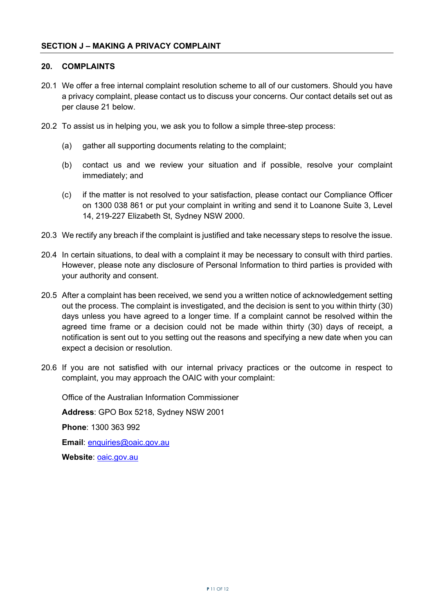#### **20. COMPLAINTS**

- 20.1 We offer a free internal complaint resolution scheme to all of our customers. Should you have a privacy complaint, please contact us to discuss your concerns. Our contact details set out as per clause 21 below.
- 20.2 To assist us in helping you, we ask you to follow a simple three-step process:
	- (a) gather all supporting documents relating to the complaint;
	- (b) contact us and we review your situation and if possible, resolve your complaint immediately; and
	- (c) if the matter is not resolved to your satisfaction, please contact our Compliance Officer on 1300 038 861 or put your complaint in writing and send it to Loanone Suite 3, Level 14, 219-227 Elizabeth St, Sydney NSW 2000.
- 20.3 We rectify any breach if the complaint is justified and take necessary steps to resolve the issue.
- 20.4 In certain situations, to deal with a complaint it may be necessary to consult with third parties. However, please note any disclosure of Personal Information to third parties is provided with your authority and consent.
- 20.5 After a complaint has been received, we send you a written notice of acknowledgement setting out the process. The complaint is investigated, and the decision is sent to you within thirty (30) days unless you have agreed to a longer time. If a complaint cannot be resolved within the agreed time frame or a decision could not be made within thirty (30) days of receipt, a notification is sent out to you setting out the reasons and specifying a new date when you can expect a decision or resolution.
- 20.6 If you are not satisfied with our internal privacy practices or the outcome in respect to complaint, you may approach the OAIC with your complaint:

Office of the Australian Information Commissioner

**Address**: GPO Box 5218, Sydney NSW 2001

**Phone**: 1300 363 992

**Email**: enquiries@oaic.gov.au

Website: **oaic.gov.au**